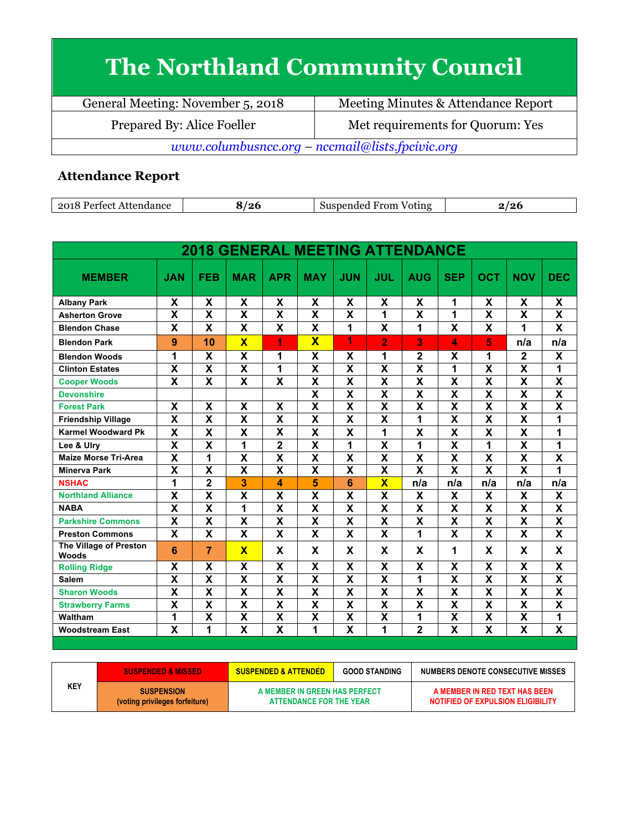## **The Northland Community Council**

General Meeting: November 5, 2018 Meeting Minutes & Attendance Report Prepared By: Alice Foeller Met requirements for Quorum: Yes *www.columbusncc.org – nccmail@lists.fpcivic.org*

## **Attendance Report**

| ാവ<br>Attendance<br>∕ortoet | '26 | Suspen<br><b>From</b><br>Voting<br>anded i | ∽ |
|-----------------------------|-----|--------------------------------------------|---|

| <b>2018 GENERAL MEETING ATTENDANCE</b> |                           |                         |                         |                           |                           |                           |                         |                         |                           |                           |                         |                           |
|----------------------------------------|---------------------------|-------------------------|-------------------------|---------------------------|---------------------------|---------------------------|-------------------------|-------------------------|---------------------------|---------------------------|-------------------------|---------------------------|
| <b>MEMBER</b>                          | <b>JAN</b>                | <b>FEB</b>              | <b>MAR</b>              | <b>APR</b>                | <b>MAY</b>                | <b>JUN</b>                | JUL                     | <b>AUG</b>              | <b>SEP</b>                | <b>OCT</b>                | <b>NOV</b>              | <b>DEC</b>                |
| <b>Albany Park</b>                     | X                         | X                       | X                       | X                         | X                         | X                         | χ                       | X                       | 1                         | X                         | X                       | X                         |
| <b>Asherton Grove</b>                  | $\overline{\mathsf{x}}$   | $\overline{\textsf{x}}$ | $\overline{\mathsf{x}}$ | $\overline{\mathbf{X}}$   | $\overline{\mathsf{x}}$   | $\overline{\mathbf{x}}$   | $\overline{\mathbf{1}}$ | $\overline{\textsf{x}}$ | $\overline{1}$            | $\overline{\mathsf{x}}$   | $\overline{\mathsf{x}}$ | $\overline{\mathbf{x}}$   |
| <b>Blendon Chase</b>                   | X                         | X                       | X                       | X                         | $\mathbf x$               | 1                         | X                       | 1                       | X                         | X                         | 1                       | X                         |
| <b>Blendon Park</b>                    | 9                         | 10                      | $\overline{\mathbf{x}}$ | 1                         | $\overline{\mathbf{X}}$   | 1                         | $\overline{2}$          | 3                       | 4                         | 5                         | n/a                     | n/a                       |
| <b>Blendon Woods</b>                   | 1                         | X                       | $\overline{\mathsf{x}}$ | 1                         | X                         | X                         | 1                       | $\overline{2}$          | X                         | 1                         | $\overline{2}$          | X                         |
| <b>Clinton Estates</b>                 | $\overline{\mathbf{x}}$   | $\overline{\textbf{x}}$ | $\overline{\mathsf{x}}$ | 1                         | $\overline{\mathsf{x}}$   | $\overline{\mathbf{X}}$   | $\overline{\mathsf{x}}$ | $\overline{\textsf{x}}$ | 1                         | $\overline{\mathsf{x}}$   | $\overline{\mathsf{x}}$ | 1                         |
| <b>Cooper Woods</b>                    | X                         | X                       | X                       | X                         | X                         | X                         | X                       | X                       | X                         | $\boldsymbol{\mathsf{X}}$ | X                       | $\boldsymbol{\mathsf{X}}$ |
| <b>Devonshire</b>                      |                           |                         |                         |                           | $\overline{\mathbf{x}}$   | $\overline{\mathsf{x}}$   | $\overline{\textsf{x}}$ | $\overline{\mathsf{x}}$ | $\overline{\mathsf{x}}$   | $\overline{\mathsf{x}}$   | $\overline{\mathsf{x}}$ | $\overline{\mathsf{x}}$   |
| <b>Forest Park</b>                     | X                         | X                       | X                       | $\boldsymbol{\mathsf{x}}$ | $\overline{\mathsf{x}}$   | $\overline{\mathbf{X}}$   | X                       | X                       | X                         | X                         | X                       | X                         |
| <b>Friendship Village</b>              | $\overline{\mathbf{x}}$   | X                       | $\overline{\mathsf{x}}$ | $\overline{\mathbf{x}}$   | $\overline{\mathbf{x}}$   | $\overline{\mathbf{x}}$   | $\overline{\mathsf{x}}$ | 1                       | $\overline{\mathbf{x}}$   | $\overline{\mathbf{x}}$   | $\overline{\mathsf{x}}$ | 1                         |
| <b>Karmel Woodward Pk</b>              | $\boldsymbol{\mathsf{X}}$ | X                       | X                       | $\boldsymbol{\mathsf{X}}$ | X                         | $\mathsf{X}$              | 1                       | X                       | $\overline{\mathsf{X}}$   | X                         | X                       | 1                         |
| Lee & Ulry                             | X                         | X                       | 1                       | $\mathbf 2$               | X                         | 1                         | X                       | 1                       | X                         | 1                         | X                       | 1                         |
| <b>Maize Morse Tri-Area</b>            | $\overline{\mathbf{x}}$   | $\blacksquare$          | $\overline{\mathsf{x}}$ | $\overline{\mathbf{x}}$   | $\overline{\mathbf{x}}$   | $\overline{\mathsf{x}}$   | $\overline{\textsf{x}}$ | $\overline{\mathsf{x}}$ | $\overline{\mathsf{x}}$   | $\overline{\mathbf{x}}$   | $\overline{\mathsf{x}}$ | $\overline{\mathsf{x}}$   |
| <b>Minerva Park</b>                    | $\overline{\mathbf{x}}$   | $\overline{\mathsf{x}}$ | $\overline{\textsf{x}}$ | $\overline{\mathbf{x}}$   | $\overline{\mathsf{x}}$   | $\overline{\mathbf{x}}$   | $\overline{\textsf{x}}$ | $\overline{\mathsf{x}}$ | $\overline{\mathbf{x}}$   | $\overline{\mathsf{x}}$   | $\overline{\textsf{x}}$ | 1                         |
| <b>NSHAC</b>                           | 1                         | $\overline{2}$          | 3                       | 4                         | 5                         | 6                         | $\overline{\mathbf{x}}$ | n/a                     | n/a                       | n/a                       | n/a                     | n/a                       |
| <b>Northland Alliance</b>              | X                         | X                       | X                       | $\boldsymbol{\mathsf{X}}$ | X                         | X                         | X                       | X                       | X                         | X                         | X                       | X                         |
| <b>NABA</b>                            | $\overline{\mathbf{x}}$   | $\overline{\textsf{x}}$ | $\overline{\mathbf{1}}$ | $\overline{\mathbf{X}}$   | $\overline{\mathsf{x}}$   | $\overline{\mathbf{x}}$   | $\overline{\textsf{x}}$ | $\overline{\mathsf{x}}$ | $\overline{\mathsf{x}}$   | $\overline{\mathsf{x}}$   | $\overline{\mathsf{x}}$ | $\overline{\textsf{x}}$   |
| <b>Parkshire Commons</b>               | X                         | X                       | X                       | $\boldsymbol{\mathsf{X}}$ | $\boldsymbol{\mathsf{x}}$ | X                         | X                       | X                       | $\boldsymbol{\mathsf{X}}$ | $\boldsymbol{\mathsf{X}}$ | X                       | $\mathsf{X}$              |
| <b>Preston Commons</b>                 | X                         | X                       | X                       | $\boldsymbol{\mathsf{x}}$ | X                         | $\mathsf{X}$              | X                       | 1                       | $\overline{\mathsf{X}}$   | X                         | X                       | $\mathsf{X}$              |
| The Village of Preston<br>Woods        | $6\phantom{1}6$           | $\overline{7}$          | $\overline{\mathbf{X}}$ | X                         | X                         | X                         | X                       | X                       | 1                         | X                         | X                       | X                         |
| <b>Rolling Ridge</b>                   | X                         | X                       | X                       | X                         | X                         | X                         | X                       | X                       | X                         | X                         | X                       | X                         |
| <b>Salem</b>                           | $\boldsymbol{\mathsf{X}}$ | X                       | X                       | $\pmb{\mathsf{X}}$        | X                         | $\boldsymbol{\mathsf{X}}$ | X                       | 1                       | $\overline{\mathsf{x}}$   | X                         | X                       | $\boldsymbol{\mathsf{X}}$ |
| <b>Sharon Woods</b>                    | $\overline{\mathbf{x}}$   | $\overline{\textsf{x}}$ | $\overline{\textbf{x}}$ | $\overline{\mathbf{x}}$   | $\overline{\mathbf{x}}$   | $\overline{\mathsf{x}}$   | $\overline{\mathsf{x}}$ | $\overline{\textsf{x}}$ | $\overline{\mathsf{x}}$   | $\overline{\mathsf{x}}$   | $\overline{\mathsf{x}}$ | $\overline{\mathsf{x}}$   |
| <b>Strawberry Farms</b>                | $\overline{\mathbf{x}}$   | X                       | $\overline{\mathsf{x}}$ | $\boldsymbol{\mathsf{x}}$ | $\overline{\mathsf{x}}$   | $\overline{\mathbf{x}}$   | $\overline{\mathsf{x}}$ | X                       | $\overline{\mathsf{x}}$   | $\overline{\mathbf{X}}$   | $\overline{\mathbf{x}}$ | $\overline{\mathsf{x}}$   |
| Waltham                                | 1                         | $\overline{\textbf{x}}$ | $\overline{\mathsf{x}}$ | $\overline{\mathbf{x}}$   | $\overline{\mathbf{x}}$   | $\overline{\mathbf{X}}$   | $\overline{\textsf{x}}$ | 1                       | $\overline{\mathsf{x}}$   | $\overline{\mathbf{x}}$   | $\overline{\mathbf{x}}$ | 1                         |
| <b>Woodstream East</b>                 | X                         | 1                       | $\overline{\mathbf{x}}$ | X                         | 1                         | X                         | 1                       | $\overline{2}$          | $\overline{\mathbf{x}}$   | X                         | $\overline{\mathsf{x}}$ | X                         |

| <b>KEY</b> | <b>SUSPENDED &amp; MISSED</b>                       | <b>SUSPENDED &amp; ATTENDED</b>                          | <b>GOOD STANDING</b> | <b>NUMBERS DENOTE CONSECUTIVE MISSES</b>                           |
|------------|-----------------------------------------------------|----------------------------------------------------------|----------------------|--------------------------------------------------------------------|
|            | <b>SUSPENSION</b><br>(voting privileges forfeiture) | A MEMBER IN GREEN HAS PERFECT<br>ATTENDANCE FOR THE YEAR |                      | A MEMBER IN RED TEXT HAS BEEN<br>NOTIFIED OF EXPULSION ELIGIBILITY |